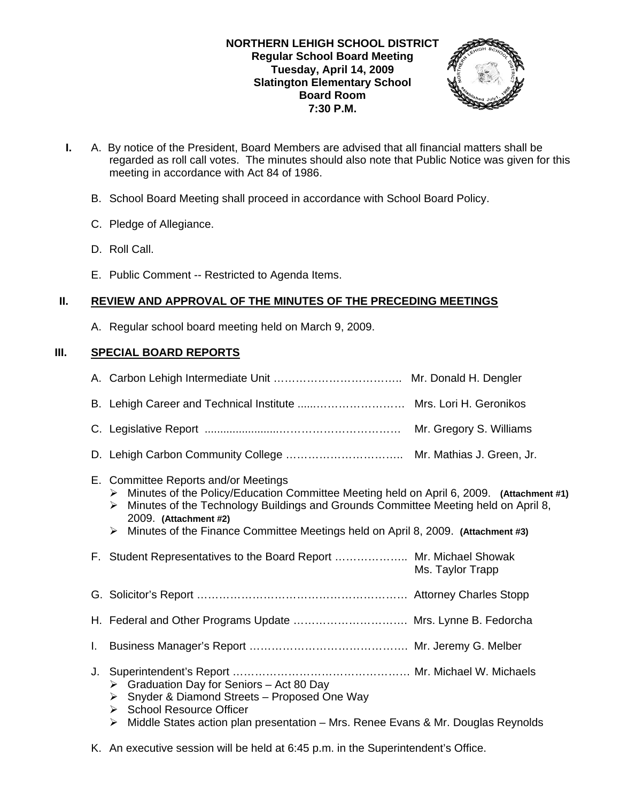

- **I.** A. By notice of the President, Board Members are advised that all financial matters shall be regarded as roll call votes. The minutes should also note that Public Notice was given for this meeting in accordance with Act 84 of 1986.
	- B. School Board Meeting shall proceed in accordance with School Board Policy.
	- C. Pledge of Allegiance.
	- D. Roll Call.
	- E. Public Comment -- Restricted to Agenda Items.

## **II. REVIEW AND APPROVAL OF THE MINUTES OF THE PRECEDING MEETINGS**

A. Regular school board meeting held on March 9, 2009.

# **III. SPECIAL BOARD REPORTS**

|    | B. Lehigh Career and Technical Institute  Mrs. Lori H. Geronikos                                                                                                                                                                                                                                                                                   |                  |
|----|----------------------------------------------------------------------------------------------------------------------------------------------------------------------------------------------------------------------------------------------------------------------------------------------------------------------------------------------------|------------------|
|    |                                                                                                                                                                                                                                                                                                                                                    |                  |
|    |                                                                                                                                                                                                                                                                                                                                                    |                  |
|    | E. Committee Reports and/or Meetings<br>Minutes of the Policy/Education Committee Meeting held on April 6, 2009. (Attachment #1)<br>➤<br>Minutes of the Technology Buildings and Grounds Committee Meeting held on April 8,<br>➤<br>2009. (Attachment #2)<br>Minutes of the Finance Committee Meetings held on April 8, 2009. (Attachment #3)<br>➤ |                  |
|    | F. Student Representatives to the Board Report  Mr. Michael Showak                                                                                                                                                                                                                                                                                 | Ms. Taylor Trapp |
|    |                                                                                                                                                                                                                                                                                                                                                    |                  |
|    | H. Federal and Other Programs Update  Mrs. Lynne B. Fedorcha                                                                                                                                                                                                                                                                                       |                  |
| L. |                                                                                                                                                                                                                                                                                                                                                    |                  |
| J. | Graduation Day for Seniors - Act 80 Day<br>≻<br>Snyder & Diamond Streets - Proposed One Way<br>≻<br>▶ School Resource Officer<br>Middle States action plan presentation – Mrs. Renee Evans & Mr. Douglas Reynolds<br>≻                                                                                                                             |                  |

K. An executive session will be held at 6:45 p.m. in the Superintendent's Office.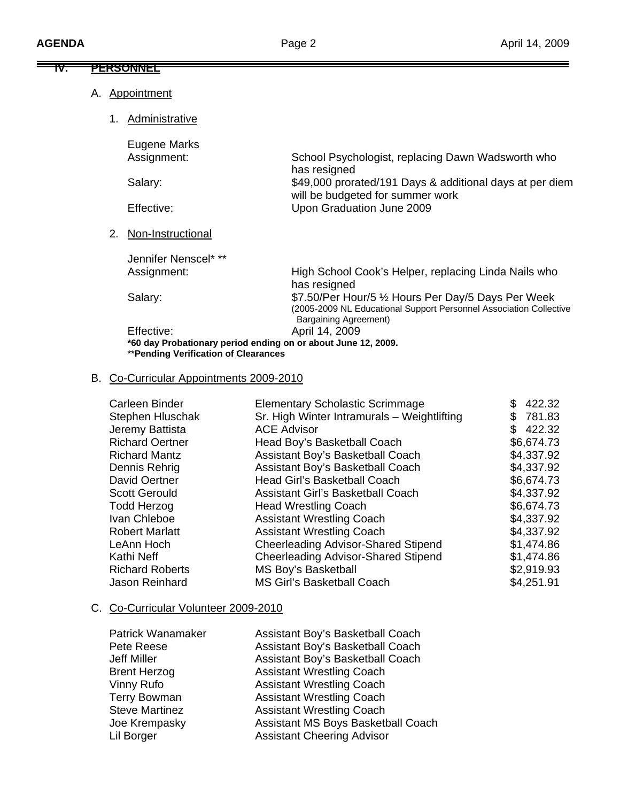| IV. |    | PERSONNEL                                                                                                           |                                                                                                                                                           |
|-----|----|---------------------------------------------------------------------------------------------------------------------|-----------------------------------------------------------------------------------------------------------------------------------------------------------|
|     |    | A. Appointment                                                                                                      |                                                                                                                                                           |
|     | 1. | <b>Administrative</b>                                                                                               |                                                                                                                                                           |
|     |    | Eugene Marks<br>Assignment:                                                                                         | School Psychologist, replacing Dawn Wadsworth who                                                                                                         |
|     |    | Salary:                                                                                                             | has resigned<br>\$49,000 prorated/191 Days & additional days at per diem                                                                                  |
|     |    | Effective:                                                                                                          | will be budgeted for summer work<br>Upon Graduation June 2009                                                                                             |
|     | 2. | Non-Instructional                                                                                                   |                                                                                                                                                           |
|     |    | Jennifer Nenscel* **                                                                                                |                                                                                                                                                           |
|     |    | Assignment:                                                                                                         | High School Cook's Helper, replacing Linda Nails who<br>has resigned                                                                                      |
|     |    | Salary:                                                                                                             | \$7.50/Per Hour/5 1/2 Hours Per Day/5 Days Per Week<br>(2005-2009 NL Educational Support Personnel Association Collective<br><b>Bargaining Agreement)</b> |
|     |    | Effective:<br>*60 day Probationary period ending on or about June 12, 2009.<br>**Pending Verification of Clearances | April 14, 2009                                                                                                                                            |

# B. Co-Curricular Appointments 2009-2010

| Carleen Binder         | <b>Elementary Scholastic Scrimmage</b>      | 422.32     |
|------------------------|---------------------------------------------|------------|
| Stephen Hluschak       | Sr. High Winter Intramurals - Weightlifting | \$781.83   |
| Jeremy Battista        | <b>ACE Advisor</b>                          | \$422.32   |
| <b>Richard Oertner</b> | Head Boy's Basketball Coach                 | \$6,674.73 |
| <b>Richard Mantz</b>   | Assistant Boy's Basketball Coach            | \$4,337.92 |
| Dennis Rehrig          | Assistant Boy's Basketball Coach            | \$4,337.92 |
| David Oertner          | <b>Head Girl's Basketball Coach</b>         | \$6,674.73 |
| <b>Scott Gerould</b>   | <b>Assistant Girl's Basketball Coach</b>    | \$4,337.92 |
| <b>Todd Herzog</b>     | <b>Head Wrestling Coach</b>                 | \$6,674.73 |
| Ivan Chleboe           | <b>Assistant Wrestling Coach</b>            | \$4,337.92 |
| <b>Robert Marlatt</b>  | <b>Assistant Wrestling Coach</b>            | \$4,337.92 |
| LeAnn Hoch             | <b>Cheerleading Advisor-Shared Stipend</b>  | \$1,474.86 |
| Kathi Neff             | <b>Cheerleading Advisor-Shared Stipend</b>  | \$1,474.86 |
| <b>Richard Roberts</b> | <b>MS Boy's Basketball</b>                  | \$2,919.93 |
| Jason Reinhard         | MS Girl's Basketball Coach                  | \$4,251.91 |

# C. Co-Curricular Volunteer 2009-2010

| <b>Patrick Wanamaker</b> | Assistant Boy's Basketball Coach   |
|--------------------------|------------------------------------|
| Pete Reese               | Assistant Boy's Basketball Coach   |
| Jeff Miller              | Assistant Boy's Basketball Coach   |
| <b>Brent Herzog</b>      | <b>Assistant Wrestling Coach</b>   |
| Vinny Rufo               | <b>Assistant Wrestling Coach</b>   |
| <b>Terry Bowman</b>      | <b>Assistant Wrestling Coach</b>   |
| <b>Steve Martinez</b>    | <b>Assistant Wrestling Coach</b>   |
| Joe Krempasky            | Assistant MS Boys Basketball Coach |
| Lil Borger               | <b>Assistant Cheering Advisor</b>  |
|                          |                                    |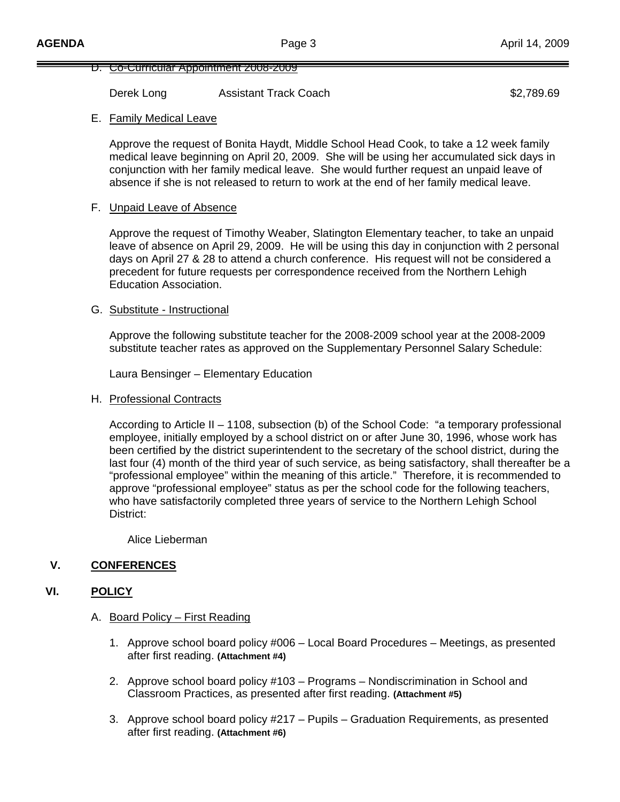#### D. Co-Curricular Appointment 2008-2009

Derek Long **Assistant Track Coach 62,789.69 \$2,789.69** 

### E. Family Medical Leave

 Approve the request of Bonita Haydt, Middle School Head Cook, to take a 12 week family medical leave beginning on April 20, 2009. She will be using her accumulated sick days in conjunction with her family medical leave. She would further request an unpaid leave of absence if she is not released to return to work at the end of her family medical leave.

### F. Unpaid Leave of Absence

Approve the request of Timothy Weaber, Slatington Elementary teacher, to take an unpaid leave of absence on April 29, 2009. He will be using this day in conjunction with 2 personal days on April 27 & 28 to attend a church conference. His request will not be considered a precedent for future requests per correspondence received from the Northern Lehigh Education Association.

### G. Substitute - Instructional

Approve the following substitute teacher for the 2008-2009 school year at the 2008-2009 substitute teacher rates as approved on the Supplementary Personnel Salary Schedule:

Laura Bensinger – Elementary Education

### H. Professional Contracts

 According to Article II – 1108, subsection (b) of the School Code: "a temporary professional employee, initially employed by a school district on or after June 30, 1996, whose work has been certified by the district superintendent to the secretary of the school district, during the last four (4) month of the third year of such service, as being satisfactory, shall thereafter be a "professional employee" within the meaning of this article." Therefore, it is recommended to approve "professional employee" status as per the school code for the following teachers, who have satisfactorily completed three years of service to the Northern Lehigh School District:

Alice Lieberman

## **V. CONFERENCES**

### **VI. POLICY**

- A. Board Policy First Reading
	- 1. Approve school board policy #006 Local Board Procedures Meetings, as presented after first reading. **(Attachment #4)**
	- 2. Approve school board policy #103 Programs Nondiscrimination in School and Classroom Practices, as presented after first reading. **(Attachment #5)**
	- 3. Approve school board policy #217 Pupils Graduation Requirements, as presented after first reading. **(Attachment #6)**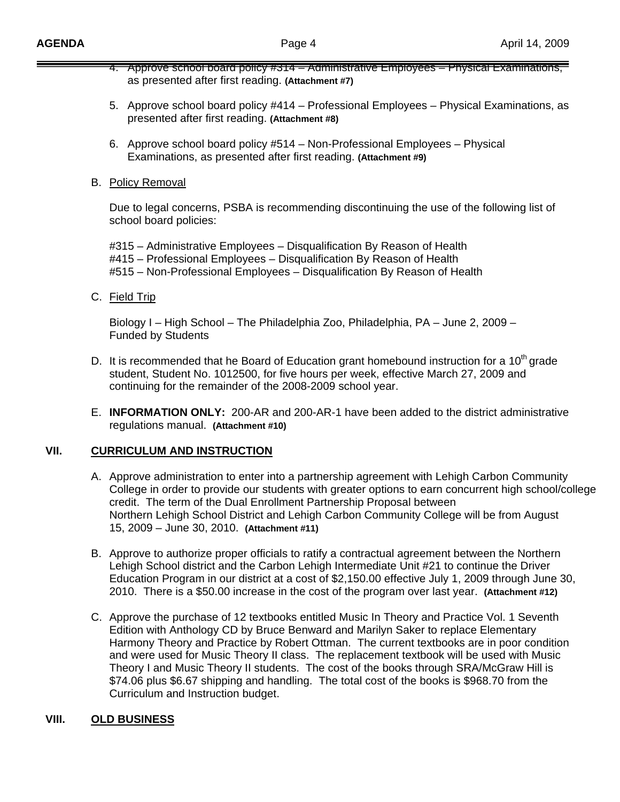- 4. Approve school board policy #314 Administrative Employees Physical Examinations, as presented after first reading. **(Attachment #7)**
- 5. Approve school board policy #414 Professional Employees Physical Examinations, as presented after first reading. **(Attachment #8)**
- 6. Approve school board policy #514 Non-Professional Employees Physical Examinations, as presented after first reading. **(Attachment #9)**
- B. Policy Removal

 Due to legal concerns, PSBA is recommending discontinuing the use of the following list of school board policies:

 #315 – Administrative Employees – Disqualification By Reason of Health #415 – Professional Employees – Disqualification By Reason of Health #515 – Non-Professional Employees – Disqualification By Reason of Health

C. Field Trip

Biology I – High School – The Philadelphia Zoo, Philadelphia, PA – June 2, 2009 – Funded by Students

- D. It is recommended that he Board of Education grant homebound instruction for a 10<sup>th</sup> grade student, Student No. 1012500, for five hours per week, effective March 27, 2009 and continuing for the remainder of the 2008-2009 school year.
- E. **INFORMATION ONLY:** 200-AR and 200-AR-1 have been added to the district administrative regulations manual. **(Attachment #10)**

# **VII. CURRICULUM AND INSTRUCTION**

- A. Approve administration to enter into a partnership agreement with Lehigh Carbon Community College in order to provide our students with greater options to earn concurrent high school/college credit. The term of the Dual Enrollment Partnership Proposal between Northern Lehigh School District and Lehigh Carbon Community College will be from August 15, 2009 – June 30, 2010. **(Attachment #11)**
- B. Approve to authorize proper officials to ratify a contractual agreement between the Northern Lehigh School district and the Carbon Lehigh Intermediate Unit #21 to continue the Driver Education Program in our district at a cost of \$2,150.00 effective July 1, 2009 through June 30, 2010. There is a \$50.00 increase in the cost of the program over last year. **(Attachment #12)**
- C. Approve the purchase of 12 textbooks entitled Music In Theory and Practice Vol. 1 Seventh Edition with Anthology CD by Bruce Benward and Marilyn Saker to replace Elementary Harmony Theory and Practice by Robert Ottman. The current textbooks are in poor condition and were used for Music Theory II class. The replacement textbook will be used with Music Theory I and Music Theory II students. The cost of the books through SRA/McGraw Hill is \$74.06 plus \$6.67 shipping and handling. The total cost of the books is \$968.70 from the Curriculum and Instruction budget.

# **VIII. OLD BUSINESS**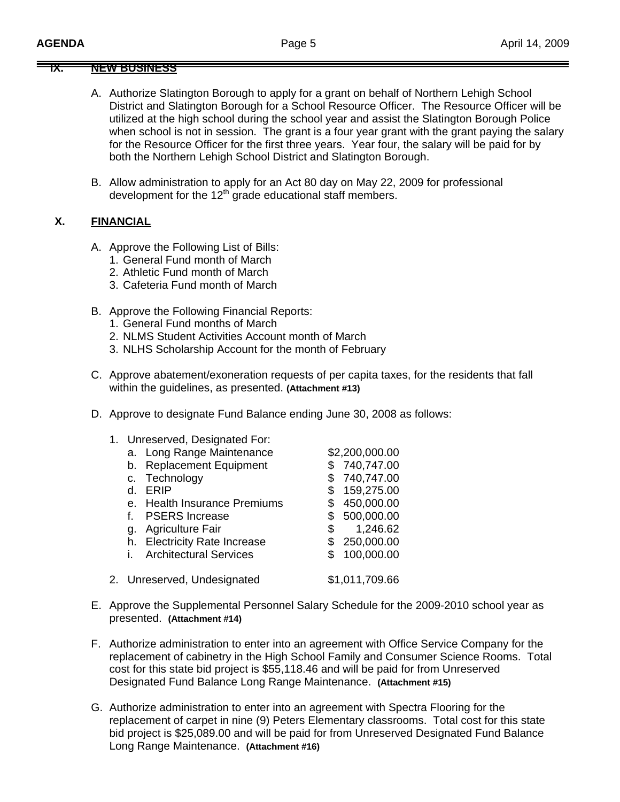### **IX. NEW BUSINESS**

- A. Authorize Slatington Borough to apply for a grant on behalf of Northern Lehigh School District and Slatington Borough for a School Resource Officer. The Resource Officer will be utilized at the high school during the school year and assist the Slatington Borough Police when school is not in session. The grant is a four year grant with the grant paying the salary for the Resource Officer for the first three years. Year four, the salary will be paid for by both the Northern Lehigh School District and Slatington Borough.
- B. Allow administration to apply for an Act 80 day on May 22, 2009 for professional development for the  $12<sup>th</sup>$  grade educational staff members.

### **X. FINANCIAL**

- A. Approve the Following List of Bills:
	- 1. General Fund month of March
	- 2. Athletic Fund month of March
	- 3. Cafeteria Fund month of March
- B. Approve the Following Financial Reports:
	- 1. General Fund months of March
	- 2. NLMS Student Activities Account month of March
	- 3. NLHS Scholarship Account for the month of February
- C. Approve abatement/exoneration requests of per capita taxes, for the residents that fall within the guidelines, as presented. **(Attachment #13)**
- D. Approve to designate Fund Balance ending June 30, 2008 as follows:
	- 1. Unreserved, Designated For:

|         | a. Long Range Maintenance     | \$2,200,000.00 |
|---------|-------------------------------|----------------|
| b.      | <b>Replacement Equipment</b>  | 740,747.00     |
| $C_{1}$ | Technology                    | 740,747.00     |
| d.      | ERIP                          | 159,275.00     |
|         | e. Health Insurance Premiums  | 450,000.00     |
| f.      | <b>PSERS</b> Increase         | 500,000.00     |
| q.      | <b>Agriculture Fair</b>       | 1,246.62<br>\$ |
|         | h. Electricity Rate Increase  | 250,000.00     |
| i.      | <b>Architectural Services</b> | 100,000.00     |
|         |                               |                |
|         | 2. Unreserved, Undesignated   | \$1,011,709.66 |
|         |                               |                |

- E. Approve the Supplemental Personnel Salary Schedule for the 2009-2010 school year as presented. **(Attachment #14)**
- F. Authorize administration to enter into an agreement with Office Service Company for the replacement of cabinetry in the High School Family and Consumer Science Rooms. Total cost for this state bid project is \$55,118.46 and will be paid for from Unreserved Designated Fund Balance Long Range Maintenance. **(Attachment #15)**
- G. Authorize administration to enter into an agreement with Spectra Flooring for the replacement of carpet in nine (9) Peters Elementary classrooms. Total cost for this state bid project is \$25,089.00 and will be paid for from Unreserved Designated Fund Balance Long Range Maintenance. **(Attachment #16)**